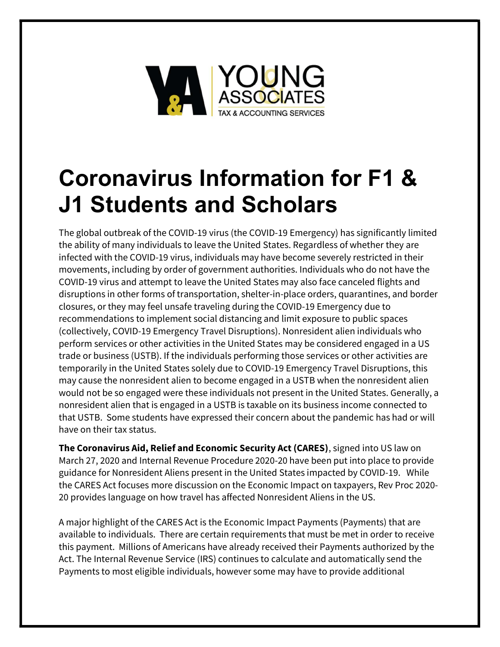

# Coronavirus Information for F1 & J1 Students and Scholars

The global outbreak of the COVID-19 virus (the COVID-19 Emergency) has significantly limited the ability of many individuals to leave the United States. Regardless of whether they are infected with the COVID-19 virus, individuals may have become severely restricted in their movements, including by order of government authorities. Individuals who do not have the COVID-19 virus and attempt to leave the United States may also face canceled flights and disruptions in other forms of transportation, shelter-in-place orders, quarantines, and border closures, or they may feel unsafe traveling during the COVID-19 Emergency due to recommendations to implement social distancing and limit exposure to public spaces (collectively, COVID-19 Emergency Travel Disruptions). Nonresident alien individuals who perform services or other activities in the United States may be considered engaged in a US trade or business (USTB). If the individuals performing those services or other activities are temporarily in the United States solely due to COVID-19 Emergency Travel Disruptions, this may cause the nonresident alien to become engaged in a USTB when the nonresident alien would not be so engaged were these individuals not present in the United States. Generally, a nonresident alien that is engaged in a USTB is taxable on its business income connected to that USTB. Some students have expressed their concern about the pandemic has had or will have on their tax status.

The Coronavirus Aid, Relief and Economic Security Act (CARES), signed into US law on March 27, 2020 and Internal Revenue Procedure 2020-20 have been put into place to provide guidance for Nonresident Aliens present in the United States impacted by COVID-19. While the CARES Act focuses more discussion on the Economic Impact on taxpayers, Rev Proc 2020- 20 provides language on how travel has affected Nonresident Aliens in the US.

A major highlight of the CARES Act is the Economic Impact Payments (Payments) that are available to individuals. There are certain requirements that must be met in order to receive this payment. Millions of Americans have already received their Payments authorized by the Act. The Internal Revenue Service (IRS) continues to calculate and automatically send the Payments to most eligible individuals, however some may have to provide additional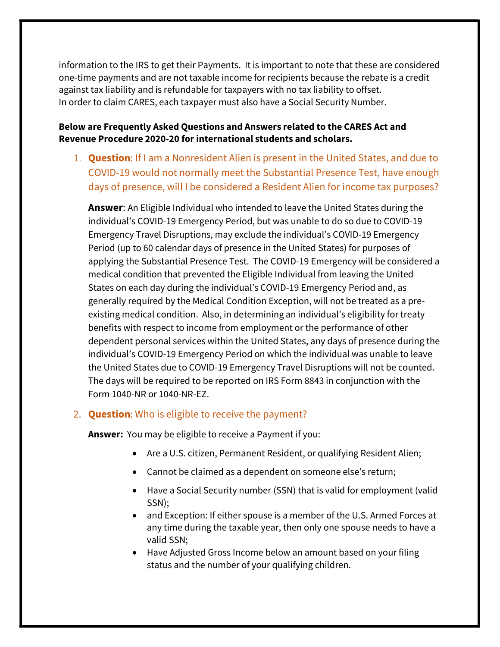information to the IRS to get their Payments. It is important to note that these are considered one-time payments and are not taxable income for recipients because the rebate is a credit against tax liability and is refundable for taxpayers with no tax liability to offset. In order to claim CARES, each taxpayer must also have a Social Security Number.

#### Below are Frequently Asked Questions and Answers related to the CARES Act and Revenue Procedure 2020-20 for international students and scholars.

1. Question: If I am a Nonresident Alien is present in the United States, and due to COVID-19 would not normally meet the Substantial Presence Test, have enough days of presence, will I be considered a Resident Alien for income tax purposes?

Answer: An Eligible Individual who intended to leave the United States during the individual's COVID-19 Emergency Period, but was unable to do so due to COVID-19 Emergency Travel Disruptions, may exclude the individual's COVID-19 Emergency Period (up to 60 calendar days of presence in the United States) for purposes of applying the Substantial Presence Test. The COVID-19 Emergency will be considered a medical condition that prevented the Eligible Individual from leaving the United States on each day during the individual's COVID-19 Emergency Period and, as generally required by the Medical Condition Exception, will not be treated as a preexisting medical condition. Also, in determining an individual's eligibility for treaty benefits with respect to income from employment or the performance of other dependent personal services within the United States, any days of presence during the individual's COVID-19 Emergency Period on which the individual was unable to leave the United States due to COVID-19 Emergency Travel Disruptions will not be counted. The days will be required to be reported on IRS Form 8843 in conjunction with the Form 1040-NR or 1040-NR-EZ.

#### 2. **Question:** Who is eligible to receive the payment?

Answer: You may be eligible to receive a Payment if you:

- Are a U.S. citizen, Permanent Resident, or qualifying Resident Alien;
- Cannot be claimed as a dependent on someone else's return;
- Have a Social Security number (SSN) that is valid for employment (valid SSN);
- and Exception: If either spouse is a member of the U.S. Armed Forces at any time during the taxable year, then only one spouse needs to have a valid SSN;
- Have Adjusted Gross Income below an amount based on your filing status and the number of your qualifying children.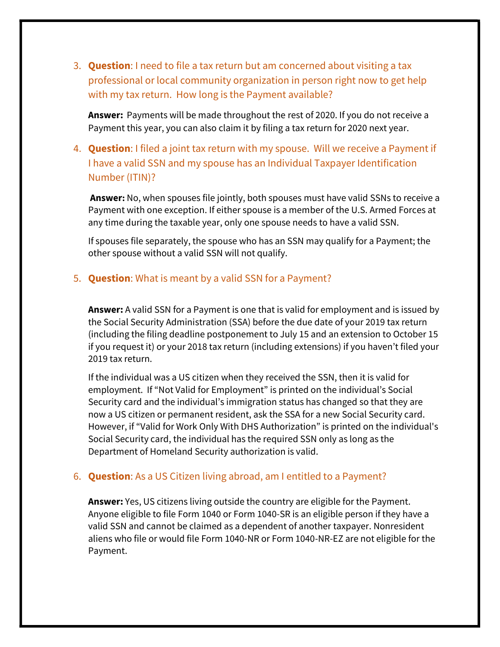3. **Question**: I need to file a tax return but am concerned about visiting a tax professional or local community organization in person right now to get help with my tax return. How long is the Payment available?

Answer: Payments will be made throughout the rest of 2020. If you do not receive a Payment this year, you can also claim it by filing a tax return for 2020 next year.

4. **Question**: I filed a joint tax return with my spouse. Will we receive a Payment if I have a valid SSN and my spouse has an Individual Taxpayer Identification Number (ITIN)?

Answer: No, when spouses file jointly, both spouses must have valid SSNs to receive a Payment with one exception. If either spouse is a member of the U.S. Armed Forces at any time during the taxable year, only one spouse needs to have a valid SSN.

If spouses file separately, the spouse who has an SSN may qualify for a Payment; the other spouse without a valid SSN will not qualify.

#### 5. **Question:** What is meant by a valid SSN for a Payment?

Answer: A valid SSN for a Payment is one that is valid for employment and is issued by the Social Security Administration (SSA) before the due date of your 2019 tax return (including the filing deadline postponement to July 15 and an extension to October 15 if you request it) or your 2018 tax return (including extensions) if you haven't filed your 2019 tax return.

If the individual was a US citizen when they received the SSN, then it is valid for employment. If "Not Valid for Employment" is printed on the individual's Social Security card and the individual's immigration status has changed so that they are now a US citizen or permanent resident, ask the SSA for a new Social Security card. However, if "Valid for Work Only With DHS Authorization" is printed on the individual's Social Security card, the individual has the required SSN only as long as the Department of Homeland Security authorization is valid.

#### 6. **Question**: As a US Citizen living abroad, am I entitled to a Payment?

Answer: Yes, US citizens living outside the country are eligible for the Payment. Anyone eligible to file Form 1040 or Form 1040-SR is an eligible person if they have a valid SSN and cannot be claimed as a dependent of another taxpayer. Nonresident aliens who file or would file Form 1040-NR or Form 1040-NR-EZ are not eligible for the Payment.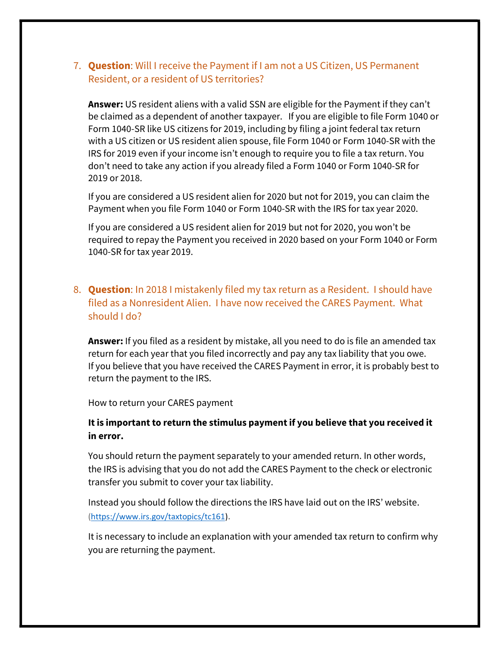## 7. **Question**: Will I receive the Payment if I am not a US Citizen, US Permanent Resident, or a resident of US territories?

Answer: US resident aliens with a valid SSN are eligible for the Payment if they can't be claimed as a dependent of another taxpayer. If you are eligible to file Form 1040 or Form 1040-SR like US citizens for 2019, including by filing a joint federal tax return with a US citizen or US resident alien spouse, file Form 1040 or Form 1040-SR with the IRS for 2019 even if your income isn't enough to require you to file a tax return. You don't need to take any action if you already filed a Form 1040 or Form 1040-SR for 2019 or 2018.

If you are considered a US resident alien for 2020 but not for 2019, you can claim the Payment when you file Form 1040 or Form 1040-SR with the IRS for tax year 2020.

If you are considered a US resident alien for 2019 but not for 2020, you won't be required to repay the Payment you received in 2020 based on your Form 1040 or Form 1040-SR for tax year 2019.

## 8. **Question**: In 2018 I mistakenly filed my tax return as a Resident. I should have filed as a Nonresident Alien. I have now received the CARES Payment. What should I do?

Answer: If you filed as a resident by mistake, all you need to do is file an amended tax return for each year that you filed incorrectly and pay any tax liability that you owe. If you believe that you have received the CARES Payment in error, it is probably best to return the payment to the IRS.

How to return your CARES payment

#### It is important to return the stimulus payment if you believe that you received it in error.

You should return the payment separately to your amended return. In other words, the IRS is advising that you do not add the CARES Payment to the check or electronic transfer you submit to cover your tax liability.

Instead you should follow the directions the IRS have laid out on the IRS' website. (https://www.irs.gov/taxtopics/tc161).

It is necessary to include an explanation with your amended tax return to confirm why you are returning the payment.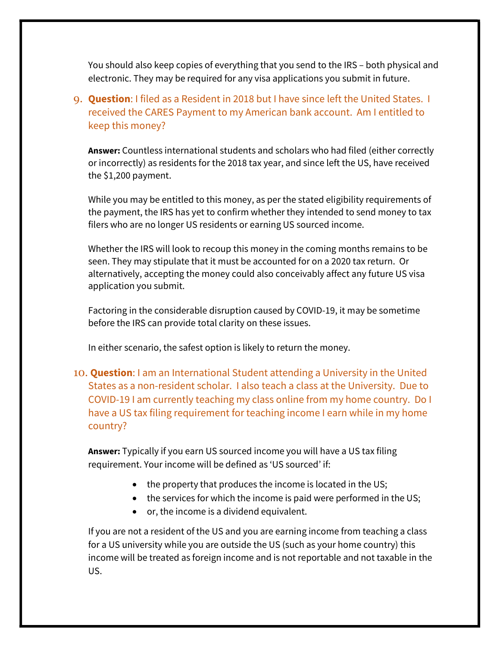You should also keep copies of everything that you send to the IRS – both physical and electronic. They may be required for any visa applications you submit in future.

# 9. **Question**: I filed as a Resident in 2018 but I have since left the United States. I received the CARES Payment to my American bank account. Am I entitled to keep this money?

Answer: Countless international students and scholars who had filed (either correctly or incorrectly) as residents for the 2018 tax year, and since left the US, have received the \$1,200 payment.

While you may be entitled to this money, as per the stated eligibility requirements of the payment, the IRS has yet to confirm whether they intended to send money to tax filers who are no longer US residents or earning US sourced income.

Whether the IRS will look to recoup this money in the coming months remains to be seen. They may stipulate that it must be accounted for on a 2020 tax return. Or alternatively, accepting the money could also conceivably affect any future US visa application you submit.

Factoring in the considerable disruption caused by COVID-19, it may be sometime before the IRS can provide total clarity on these issues.

In either scenario, the safest option is likely to return the money.

10. Question: I am an International Student attending a University in the United States as a non-resident scholar. I also teach a class at the University. Due to COVID-19 I am currently teaching my class online from my home country. Do I have a US tax filing requirement for teaching income I earn while in my home country?

Answer: Typically if you earn US sourced income you will have a US tax filing requirement. Your income will be defined as 'US sourced' if:

- the property that produces the income is located in the US;
- the services for which the income is paid were performed in the US;
- or, the income is a dividend equivalent.

If you are not a resident of the US and you are earning income from teaching a class for a US university while you are outside the US (such as your home country) this income will be treated as foreign income and is not reportable and not taxable in the US.